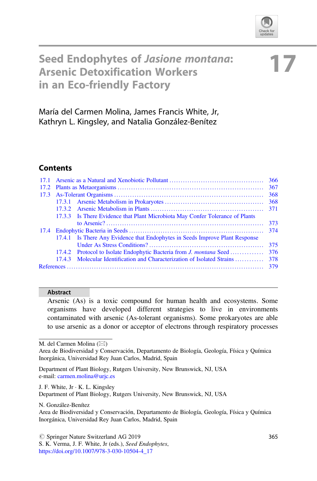

# Seed Endophytes of Jasione montana: Arsenic Detoxification Workers in an Eco-friendly Factory

María del Carmen Molina, James Francis White, Jr, Kathryn L. Kingsley, and Natalia González-Benítez

# **Contents**

|        | 367                                                                           |     |  |  |
|--------|-------------------------------------------------------------------------------|-----|--|--|
| 17.3   |                                                                               |     |  |  |
|        |                                                                               | 368 |  |  |
|        |                                                                               | 371 |  |  |
|        | 17.3.3 Is There Evidence that Plant Microbiota May Confer Tolerance of Plants |     |  |  |
|        |                                                                               | 373 |  |  |
| 17.4   |                                                                               | 374 |  |  |
|        | 17.4.1 Is There Any Evidence that Endophytes in Seeds Improve Plant Response  |     |  |  |
|        |                                                                               | 375 |  |  |
|        | 17.4.2 Protocol to Isolate Endophytic Bacteria from <i>J. montana</i> Seed    | 376 |  |  |
| 17.4.3 | Molecular Identification and Characterization of Isolated Strains             | 378 |  |  |
|        |                                                                               | 379 |  |  |

### Abstract

Arsenic (As) is a toxic compound for human health and ecosystems. Some organisms have developed different strategies to live in environments contaminated with arsenic (As-tolerant organisms). Some prokaryotes are able to use arsenic as a donor or acceptor of electrons through respiratory processes

M. del Carmen Molina ( $\boxtimes$ )

Department of Plant Biology, Rutgers University, New Brunswick, NJ, USA e-mail: [carmen.molina@urjc.es](mailto:carmen.molina@urjc.es)

J. F. White, Jr · K. L. Kingsley Department of Plant Biology, Rutgers University, New Brunswick, NJ, USA

N. González-Benítez

Area de Biodiversidad y Conservación, Departamento de Biología, Geología, Física y Química Inorgánica, Universidad Rey Juan Carlos, Madrid, Spain

 $\oslash$  Springer Nature Switzerland AG 2019

S. K. Verma, J. F. White, Jr (eds.), Seed Endophytes, [https://doi.org/10.1007/978-3-030-10504-4\\_17](https://doi.org/10.1007/978-3-030-10504-4_17)

Area de Biodiversidad y Conservación, Departamento de Biología, Geología, Física y Química Inorgánica, Universidad Rey Juan Carlos, Madrid, Spain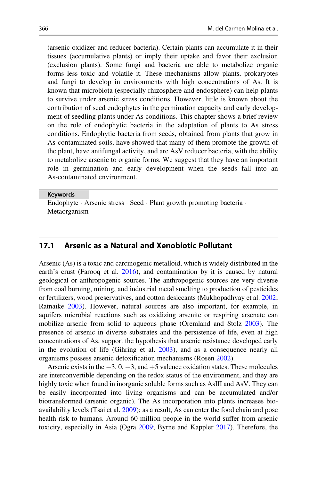(arsenic oxidizer and reducer bacteria). Certain plants can accumulate it in their tissues (accumulative plants) or imply their uptake and favor their exclusion (exclusion plants). Some fungi and bacteria are able to metabolize organic forms less toxic and volatile it. These mechanisms allow plants, prokaryotes and fungi to develop in environments with high concentrations of As. It is known that microbiota (especially rhizosphere and endosphere) can help plants to survive under arsenic stress conditions. However, little is known about the contribution of seed endophytes in the germination capacity and early development of seedling plants under As conditions. This chapter shows a brief review on the role of endophytic bacteria in the adaptation of plants to As stress conditions. Endophytic bacteria from seeds, obtained from plants that grow in As-contaminated soils, have showed that many of them promote the growth of the plant, have antifungal activity, and are AsV reducer bacteria, with the ability to metabolize arsenic to organic forms. We suggest that they have an important role in germination and early development when the seeds fall into an As-contaminated environment.

#### Keywords

Endophyte · Arsenic stress · Seed · Plant growth promoting bacteria · Metaorganism

## <span id="page-1-0"></span>17.1 Arsenic as a Natural and Xenobiotic Pollutant

Arsenic (As) is a toxic and carcinogenic metalloid, which is widely distributed in the earth's crust (Farooq et al. [2016\)](#page-15-0), and contamination by it is caused by natural geological or anthropogenic sources. The anthropogenic sources are very diverse from coal burning, mining, and industrial metal smelting to production of pesticides or fertilizers, wood preservatives, and cotton desiccants (Mukhopadhyay et al. [2002;](#page-17-0) Ratnaike [2003](#page-18-0)). However, natural sources are also important, for example, in aquifers microbial reactions such as oxidizing arsenite or respiring arsenate can mobilize arsenic from solid to aqueous phase (Oremland and Stolz [2003\)](#page-17-1). The presence of arsenic in diverse substrates and the persistence of life, even at high concentrations of As, support the hypothesis that arsenic resistance developed early in the evolution of life (Gihring et al. [2003\)](#page-15-1), and as a consequence nearly all organisms possess arsenic detoxification mechanisms (Rosen [2002](#page-18-1)).

Arsenic exists in the  $-3$ , 0,  $+3$ , and  $+5$  valence oxidation states. These molecules are interconvertible depending on the redox status of the environment, and they are highly toxic when found in inorganic soluble forms such as AsIII and AsV. They can be easily incorporated into living organisms and can be accumulated and/or biotransformed (arsenic organic). The As incorporation into plants increases bioavailability levels (Tsai et al. [2009](#page-19-0)); as a result, As can enter the food chain and pose health risk to humans. Around 60 million people in the world suffer from arsenic toxicity, especially in Asia (Ogra [2009](#page-17-2); Byrne and Kappler [2017](#page-15-2)). Therefore, the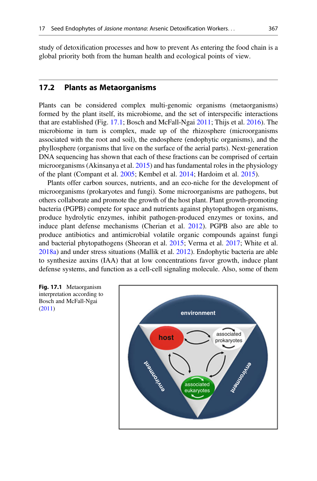study of detoxification processes and how to prevent As entering the food chain is a global priority both from the human health and ecological points of view.

## <span id="page-2-0"></span>17.2 Plants as Metaorganisms

Plants can be considered complex multi-genomic organisms (metaorganisms) formed by the plant itself, its microbiome, and the set of interspecific interactions that are established (Fig. [17.1](#page-2-1); Bosch and McFall-Ngai [2011;](#page-15-3) Thijs et al. [2016\)](#page-18-2). The microbiome in turn is complex, made up of the rhizosphere (microorganisms associated with the root and soil), the endosphere (endophytic organisms), and the phyllosphere (organisms that live on the surface of the aerial parts). Next-generation DNA sequencing has shown that each of these fractions can be comprised of certain microorganisms (Akinsanya et al. [2015\)](#page-14-1) and has fundamental roles in the physiology of the plant (Compant et al. [2005;](#page-15-4) Kembel et al. [2014;](#page-16-0) Hardoim et al. [2015](#page-16-1)).

Plants offer carbon sources, nutrients, and an eco-niche for the development of microorganisms (prokaryotes and fungi). Some microorganisms are pathogens, but others collaborate and promote the growth of the host plant. Plant growth-promoting bacteria (PGPB) compete for space and nutrients against phytopathogen organisms, produce hydrolytic enzymes, inhibit pathogen-produced enzymes or toxins, and induce plant defense mechanisms (Cherian et al. [2012\)](#page-15-5). PGPB also are able to produce antibiotics and antimicrobial volatile organic compounds against fungi and bacterial phytopathogens (Sheoran et al. [2015](#page-18-3); Verma et al. [2017](#page-19-1); White et al. [2018a](#page-19-2)) and under stress situations (Mallik et al. [2012](#page-17-3)). Endophytic bacteria are able to synthesize auxins (IAA) that at low concentrations favor growth, induce plant defense systems, and function as a cell-cell signaling molecule. Also, some of them

<span id="page-2-1"></span>

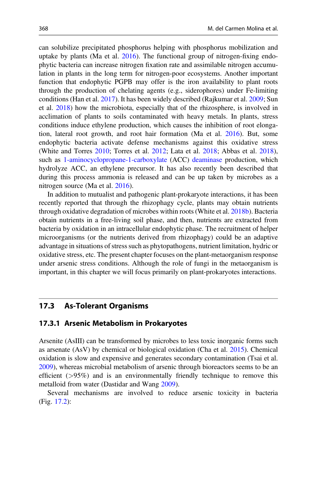can solubilize precipitated phosphorus helping with phosphorus mobilization and uptake by plants (Ma et al. [2016\)](#page-16-2). The functional group of nitrogen-fixing endophytic bacteria can increase nitrogen fixation rate and assimilable nitrogen accumulation in plants in the long term for nitrogen-poor ecosystems. Another important function that endophytic PGPB may offer is the iron availability to plant roots through the production of chelating agents (e.g., siderophores) under Fe-limiting conditions (Han et al. [2017\)](#page-16-3). It has been widely described (Rajkumar et al. [2009](#page-18-4); Sun et al. [2018](#page-18-5)) how the microbiota, especially that of the rhizosphere, is involved in acclimation of plants to soils contaminated with heavy metals. In plants, stress conditions induce ethylene production, which causes the inhibition of root elongation, lateral root growth, and root hair formation (Ma et al. [2016\)](#page-16-2). But, some endophytic bacteria activate defense mechanisms against this oxidative stress (White and Torres [2010;](#page-19-3) Torres et al. [2012;](#page-19-4) Lata et al. [2018](#page-16-4); Abbas et al. [2018\)](#page-14-2), such as [1-aminocyclopropane-1-carboxylate](https://www.sciencedirect.com/topics/biochemistry-genetics-and-molecular-biology/1-aminocyclopropane-1-carboxylic-acid) (ACC) [deaminase](https://www.sciencedirect.com/topics/biochemistry-genetics-and-molecular-biology/deamination) production, which hydrolyze ACC, an ethylene precursor. It has also recently been described that during this process ammonia is released and can be up taken by microbes as a nitrogen source (Ma et al. [2016\)](#page-16-2).

In addition to mutualist and pathogenic plant-prokaryote interactions, it has been recently reported that through the rhizophagy cycle, plants may obtain nutrients through oxidative degradation of microbes within roots (White et al. [2018b](#page-19-5)). Bacteria obtain nutrients in a free-living soil phase, and then, nutrients are extracted from bacteria by oxidation in an intracellular endophytic phase. The recruitment of helper microorganisms (or the nutrients derived from rhizophagy) could be an adaptive advantage in situations of stress such as phytopathogens, nutrient limitation, hydric or oxidative stress, etc. The present chapter focuses on the plant-metaorganism response under arsenic stress conditions. Although the role of fungi in the metaorganism is important, in this chapter we will focus primarily on plant-prokaryotes interactions.

#### <span id="page-3-1"></span><span id="page-3-0"></span>17.3 As-Tolerant Organisms

#### 17.3.1 Arsenic Metabolism in Prokaryotes

Arsenite (AsIII) can be transformed by microbes to less toxic inorganic forms such as arsenate (AsV) by chemical or biological oxidation (Cha et al. [2015\)](#page-15-6). Chemical oxidation is slow and expensive and generates secondary contamination (Tsai et al. [2009\)](#page-19-0), whereas microbial metabolism of arsenic through bioreactors seems to be an efficient  $(>\!\!95\%)$  and is an environmentally friendly technique to remove this metalloid from water (Dastidar and Wang [2009](#page-15-7)).

Several mechanisms are involved to reduce arsenic toxicity in bacteria (Fig. [17.2](#page-4-0)):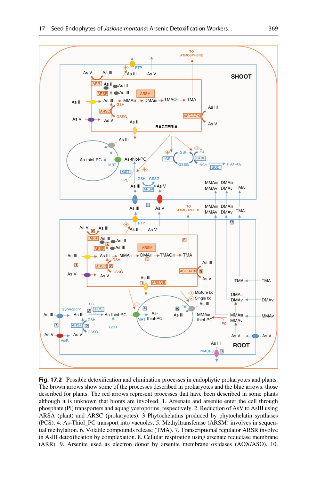<span id="page-4-0"></span>

Fig. 17.2 Possible detoxification and elimination processes in endophytic prokaryotes and plants. The brown arrows show some of the processes described in prokaryotes and the blue arrows, those described for plants. The red arrows represent processes that have been described in some plants although it is unknown that bionts are involved. 1. Arsenate and arsenite enter the cell through phosphate (Pi) transporters and aquaglyceroporins, respectively. 2. Reduction of AsV to AsIII using ARSA (plant) and ARSC (prokaryotes). 3 Phytochelatins produced by phytochelatin synthases (PCS). 4. As-Thiol\_PC transport into vacuoles. 5. Methyltransferase (ARSM) involves in sequential methylation. 6. Volatile compounds release (TMA). 7. Transcriptional regulator ARSR involve in AsIII detoxification by complexation. 8. Cellular respiration using arsenate reductase membrane (ARR). 9. Arsenite used as electron donor by arsenite membrane oxidases (AOX/ASO). 10.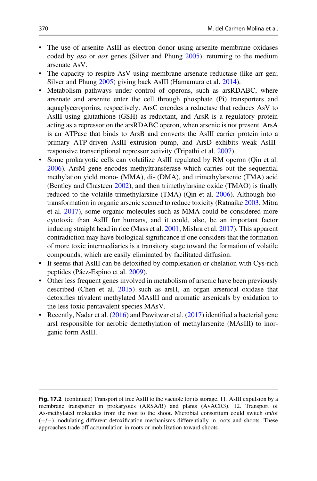- The use of arsenite AsIII as electron donor using arsenite membrane oxidases coded by *aso* or *aox* genes (Silver and Phung [2005](#page-18-6)), returning to the medium arsenate AsV.
- The capacity to respire AsV using membrane arsenate reductase (like arr gen; Silver and Phung [2005](#page-18-6)) giving back AsIII (Hamamura et al. [2014](#page-16-5)).
- Metabolism pathways under control of operons, such as arsRDABC, where arsenate and arsenite enter the cell through phosphate (Pi) transporters and aquaglyceroporins, respectively. ArsC encodes a reductase that reduces AsV to AsIII using glutathione (GSH) as reductant, and ArsR is a regulatory protein acting as a repressor on the arsRDABC operon, when arsenic is not present. ArsA is an ATPase that binds to ArsB and converts the AsIII carrier protein into a primary ATP-driven AsIII extrusion pump, and ArsD exhibits weak AsIIIresponsive transcriptional repressor activity (Tripathi et al. [2007](#page-19-6)).
- Some prokaryotic cells can volatilize AsIII regulated by RM operon (Oin et al. [2006](#page-18-7)). ArsM gene encodes methyltransferase which carries out the sequential methylation yield mono- (MMA), di- (DMA), and trimethylarsenic (TMA) acid (Bentley and Chasteen [2002\)](#page-14-3), and then trimethylarsine oxide (TMAO) is finally reduced to the volatile trimethylarsine (TMA) (Qin et al. [2006\)](#page-18-7). Although biotransformation in organic arsenic seemed to reduce toxicity (Ratnaike [2003;](#page-18-0) Mitra et al. [2017](#page-17-4)), some organic molecules such as MMA could be considered more cytotoxic than AsIII for humans, and it could, also, be an important factor inducing straight head in rice (Mass et al. [2001](#page-17-5); Mishra et al. [2017](#page-17-6)). This apparent contradiction may have biological significance if one considers that the formation of more toxic intermediaries is a transitory stage toward the formation of volatile compounds, which are easily eliminated by facilitated diffusion.
- It seems that AsIII can be detoxified by complexation or chelation with Cys-rich peptides (Páez-Espino et al. [2009\)](#page-17-7).
- Other less frequent genes involved in metabolism of arsenic have been previously described (Chen et al. [2015\)](#page-15-8) such as arsH, an organ arsenical oxidase that detoxifies trivalent methylated MAsIII and aromatic arsenicals by oxidation to the less toxic pentavalent species MAsV.
- Recently, Nadar et al. [\(2016](#page-17-8)) and Pawitwar et al. ([2017\)](#page-17-9) identified a bacterial gene arsI responsible for aerobic demethylation of methylarsenite (MAsIII) to inorganic form AsIII.

Fig. 17.2 (continued) Transport of free AsIII to the vacuole for its storage. 11. AsIII expulsion by a membrane transporter in prokaryotes (ARSA/B) and plants (AvACR3). 12. Transport of As-methylated molecules from the root to the shoot. Microbial consortium could switch on/of  $(+/-)$  modulating different detoxification mechanisms differentially in roots and shoots. These approaches trade off accumulation in roots or mobilization toward shoots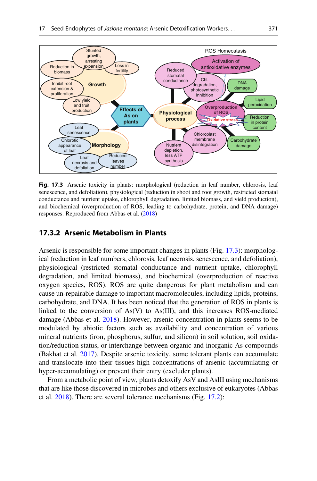<span id="page-6-1"></span>

Fig. 17.3 Arsenic toxicity in plants: morphological (reduction in leaf number, chlorosis, leaf senescence, and defoliation), physiological (reduction in shoot and root growth, restricted stomatal conductance and nutrient uptake, chlorophyll degradation, limited biomass, and yield production), and biochemical (overproduction of ROS, leading to carbohydrate, protein, and DNA damage) responses. Reproduced from Abbas et al. [\(2018](#page-14-2))

#### <span id="page-6-0"></span>17.3.2 Arsenic Metabolism in Plants

Arsenic is responsible for some important changes in plants (Fig. [17.3](#page-6-1)): morphological (reduction in leaf numbers, chlorosis, leaf necrosis, senescence, and defoliation), physiological (restricted stomatal conductance and nutrient uptake, chlorophyll degradation, and limited biomass), and biochemical (overproduction of reactive oxygen species, ROS). ROS are quite dangerous for plant metabolism and can cause un-repairable damage to important macromolecules, including lipids, proteins, carbohydrate, and DNA. It has been noticed that the generation of ROS in plants is linked to the conversion of As(V) to As(III), and this increases ROS-mediated damage (Abbas et al. [2018](#page-14-2)). However, arsenic concentration in plants seems to be modulated by abiotic factors such as availability and concentration of various mineral nutrients (iron, phosphorus, sulfur, and silicon) in soil solution, soil oxidation/reduction status, or interchange between organic and inorganic As compounds (Bakhat et al. [2017](#page-14-4)). Despite arsenic toxicity, some tolerant plants can accumulate and translocate into their tissues high concentrations of arsenic (accumulating or hyper-accumulating) or prevent their entry (excluder plants).

From a metabolic point of view, plants detoxify AsV and AsIII using mechanisms that are like those discovered in microbes and others exclusive of eukaryotes (Abbas et al. [2018](#page-14-2)). There are several tolerance mechanisms (Fig. [17.2](#page-4-0)):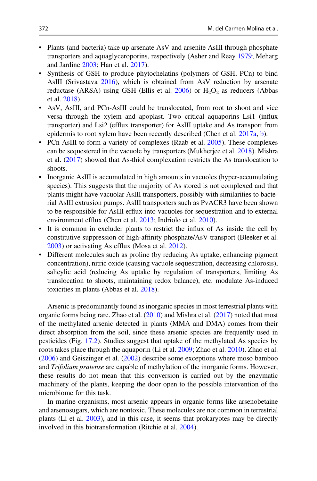- Plants (and bacteria) take up arsenate AsV and arsenite AsIII through phosphate transporters and aquaglyceroporins, respectively (Asher and Reay [1979](#page-14-5); Meharg and Jardine [2003;](#page-17-10) Han et al. [2017\)](#page-16-3).
- Synthesis of GSH to produce phytochelatins (polymers of GSH, PCn) to bind AsIII (Srivastava [2016\)](#page-18-8), which is obtained from AsV reduction by arsenate reductase (ARSA) using GSH (Ellis et al.  $2006$ ) or  $H_2O_2$  as reducers (Abbas et al. [2018\)](#page-14-2).
- AsV, AsIII, and PCn-AsIII could be translocated, from root to shoot and vice versa through the xylem and apoplast. Two critical aquaporins Lsi1 (influx transporter) and Lsi2 (efflux transporter) for AsIII uptake and As transport from epidermis to root xylem have been recently described (Chen et al. [2017a,](#page-15-10) [b\)](#page-15-11).
- PCn-AsIII to form a variety of complexes (Raab et al. [2005\)](#page-18-9). These complexes can be sequestered in the vacuole by transporters (Mukherjee et al. [2018\)](#page-17-11). Mishra et al. [\(2017](#page-17-6)) showed that As-thiol complexation restricts the As translocation to shoots.
- Inorganic AsIII is accumulated in high amounts in vacuoles (hyper-accumulating species). This suggests that the majority of As stored is not complexed and that plants might have vacuolar AsIII transporters, possibly with similarities to bacterial AsIII extrusion pumps. AsIII transporters such as PvACR3 have been shown to be responsible for AsIII efflux into vacuoles for sequestration and to external environment efflux (Chen et al. [2013](#page-15-12); Indriolo et al. [2010\)](#page-16-6).
- It is common in excluder plants to restrict the influx of As inside the cell by constitutive suppression of high-affinity phosphate/AsV transport (Bleeker et al. [2003](#page-14-6)) or activating As efflux (Mosa et al. [2012](#page-17-12)).
- Different molecules such as proline (by reducing As uptake, enhancing pigment concentration), nitric oxide (causing vacuole sequestration, decreasing chlorosis), salicylic acid (reducing As uptake by regulation of transporters, limiting As translocation to shoots, maintaining redox balance), etc. modulate As-induced toxicities in plants (Abbas et al. [2018\)](#page-14-2).

Arsenic is predominantly found as inorganic species in most terrestrial plants with organic forms being rare. Zhao et al. ([2010](#page-19-7)) and Mishra et al. [\(2017](#page-17-6)) noted that most of the methylated arsenic detected in plants (MMA and DMA) comes from their direct absorption from the soil, since these arsenic species are frequently used in pesticides (Fig. [17.2](#page-4-0)). Studies suggest that uptake of the methylated As species by roots takes place through the aquaporin (Li et al. [2009;](#page-16-7) Zhao et al. [2010\)](#page-19-7). Zhao et al. [\(2006](#page-19-8)) and Geiszinger et al. [\(2002](#page-15-13)) describe some exceptions where moso bamboo and Trifolium pratense are capable of methylation of the inorganic forms. However, these results do not mean that this conversion is carried out by the enzymatic machinery of the plants, keeping the door open to the possible intervention of the microbiome for this task.

In marine organisms, most arsenic appears in organic forms like arsenobetaine and arsenosugars, which are nontoxic. These molecules are not common in terrestrial plants (Li et al. [2003\)](#page-16-8), and in this case, it seems that prokaryotes may be directly involved in this biotransformation (Ritchie et al. [2004](#page-18-10)).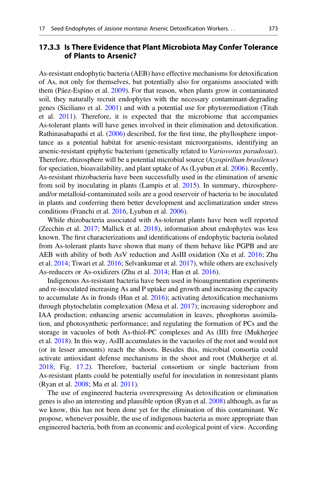## <span id="page-8-0"></span>17.3.3 Is There Evidence that Plant Microbiota May Confer Tolerance of Plants to Arsenic?

As-resistant endophytic bacteria (AEB) have effective mechanisms for detoxification of As, not only for themselves, but potentially also for organisms associated with them (Páez-Espino et al. [2009](#page-17-7)). For that reason, when plants grow in contaminated soil, they naturally recruit endophytes with the necessary contaminant-degrading genes (Siciliano et al. [2001](#page-18-11)) and with a potential use for phytoremediation (Titah et al. [2011](#page-19-9)). Therefore, it is expected that the microbiome that accompanies As-tolerant plants will have genes involved in their elimination and detoxification. Rathinasabapathi et al. [\(2006](#page-18-12)) described, for the first time, the phyllosphere importance as a potential habitat for arsenic-resistant microorganisms, identifying an arsenic-resistant epiphytic bacterium (genetically related to Variovorax paradoxus). Therefore, rhizosphere will be a potential microbial source (Azospirillum brasilense) for speciation, bioavailability, and plant uptake of As (Lyubun et al. [2006](#page-16-9)). Recently, As-resistant rhizobacteria have been successfully used in the elimination of arsenic from soil by inoculating in plants (Lampis et al. [2015\)](#page-16-10). In summary, rhizosphereand/or metalloid-contaminated soils are a good reservoir of bacteria to be inoculated in plants and conferring them better development and acclimatization under stress conditions (Franchi et al. [2016](#page-15-14), Lyubun et al. [2006](#page-16-9)).

While rhizobacteria associated with As-tolerant plants have been well reported (Zecchin et al. [2017;](#page-19-10) Mallick et al. [2018](#page-16-11)), information about endophytes was less known. The first characterizations and identifications of endophytic bacteria isolated from As-tolerant plants have shown that many of them behave like PGPB and are AEB with ability of both AsV reduction and AsIII oxidation (Xu et al. [2016;](#page-19-11) Zhu et al. [2014;](#page-19-12) Tiwari et al. [2016](#page-19-13); Selvankumar et al. [2017](#page-18-13)), while others are exclusively As-reducers or As-oxidizers (Zhu et al. [2014;](#page-19-12) Han et al. [2016\)](#page-16-12).

Indigenous As-resistant bacteria have been used in bioaugmentation experiments and re-inoculated increasing As and P uptake and growth and increasing the capacity to accumulate As in fronds (Han et al. [2016](#page-16-12)); activating detoxification mechanisms through phytochelatin complexation (Mesa et al. [2017\)](#page-17-13); increasing siderophore and IAA production; enhancing arsenic accumulation in leaves, phosphorus assimilation, and photosynthetic performance; and regulating the formation of PCs and the storage in vacuoles of both As-thiol-PC complexes and As (III) free (Mukherjee et al. [2018\)](#page-17-11). In this way, AsIII accumulates in the vacuoles of the root and would not (or in lesser amounts) reach the shoots. Besides this, microbial consortia could activate antioxidant defense mechanisms in the shoot and root (Mukherjee et al. [2018;](#page-17-11) Fig. [17.2](#page-4-0)). Therefore, bacterial consortium or single bacterium from As-resistant plants could be potentially useful for inoculation in nonresistant plants (Ryan et al. [2008](#page-18-14); Ma et al. [2011\)](#page-16-13).

The use of engineered bacteria overexpressing As detoxification or elimination genes is also an interesting and plausible option (Ryan et al. [2008](#page-18-14)) although, as far as we know, this has not been done yet for the elimination of this contaminant. We propose, whenever possible, the use of indigenous bacteria as more appropriate than engineered bacteria, both from an economic and ecological point of view. According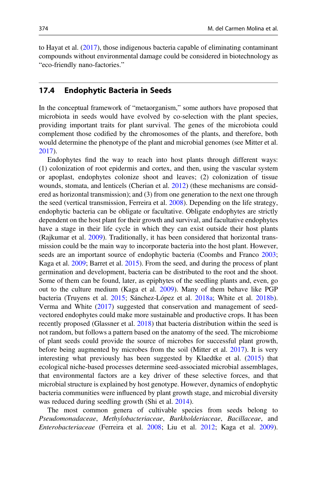to Hayat et al. ([2017\)](#page-16-14), those indigenous bacteria capable of eliminating contaminant compounds without environmental damage could be considered in biotechnology as "eco-friendly nano-factories."

#### <span id="page-9-0"></span>17.4 Endophytic Bacteria in Seeds

In the conceptual framework of "metaorganism," some authors have proposed that microbiota in seeds would have evolved by co-selection with the plant species, providing important traits for plant survival. The genes of the microbiota could complement those codified by the chromosomes of the plants, and therefore, both would determine the phenotype of the plant and microbial genomes (see Mitter et al. [2017\)](#page-17-14).

Endophytes find the way to reach into host plants through different ways: (1) colonization of root epidermis and cortex, and then, using the vascular system or apoplast, endophytes colonize shoot and leaves; (2) colonization of tissue wounds, stomata, and lenticels (Cherian et al.  $2012$ ) (these mechanisms are considered as horizontal transmission); and (3) from one generation to the next one through the seed (vertical transmission, Ferreira et al. [2008](#page-15-15)). Depending on the life strategy, endophytic bacteria can be obligate or facultative. Obligate endophytes are strictly dependent on the host plant for their growth and survival, and facultative endophytes have a stage in their life cycle in which they can exist outside their host plants (Rajkumar et al. [2009](#page-18-4)). Traditionally, it has been considered that horizontal transmission could be the main way to incorporate bacteria into the host plant. However, seeds are an important source of endophytic bacteria (Coombs and Franco [2003;](#page-15-16) Kaga et al. [2009](#page-16-15); Barret et al. [2015](#page-14-7)). From the seed, and during the process of plant germination and development, bacteria can be distributed to the root and the shoot. Some of them can be found, later, as epiphytes of the seedling plants and, even, go out to the culture medium (Kaga et al. [2009\)](#page-16-15). Many of them behave like PGP bacteria (Truyens et al. [2015;](#page-19-14) Sánchez-López et al. [2018a;](#page-18-15) White et al. [2018b\)](#page-19-5). Verma and White ([2017\)](#page-19-15) suggested that conservation and management of seedvectored endophytes could make more sustainable and productive crops. It has been recently proposed (Glassner et al. [2018](#page-15-17)) that bacteria distribution within the seed is not random, but follows a pattern based on the anatomy of the seed. The microbiome of plant seeds could provide the source of microbes for successful plant growth, before being augmented by microbes from the soil (Mitter et al. [2017](#page-17-14)). It is very interesting what previously has been suggested by Klaedtke et al. ([2015\)](#page-16-16) that ecological niche-based processes determine seed-associated microbial assemblages, that environmental factors are a key driver of these selective forces, and that microbial structure is explained by host genotype. However, dynamics of endophytic bacteria communities were influenced by plant growth stage, and microbial diversity was reduced during seedling growth (Shi et al. [2014\)](#page-18-16).

The most common genera of cultivable species from seeds belong to Pseudomonadaceae, Methylobacteriaceae, Burkholderiaceae, Bacillaceae, and Enterobacteriaceae (Ferreira et al. [2008;](#page-15-15) Liu et al. [2012](#page-16-17); Kaga et al. [2009\)](#page-16-15).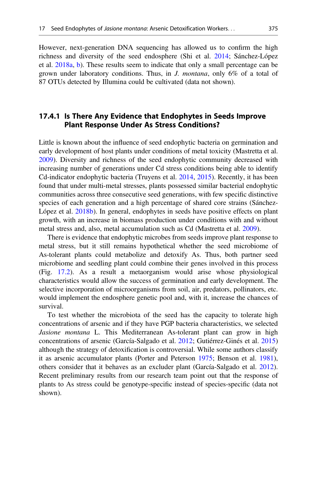However, next-generation DNA sequencing has allowed us to confirm the high richness and diversity of the seed endosphere (Shi et al. [2014](#page-18-16); Sánchez-López et al. [2018a,](#page-18-15) [b](#page-18-17)). These results seem to indicate that only a small percentage can be grown under laboratory conditions. Thus, in J. montana, only 6% of a total of 87 OTUs detected by Illumina could be cultivated (data not shown).

## <span id="page-10-0"></span>17.4.1 Is There Any Evidence that Endophytes in Seeds Improve Plant Response Under As Stress Conditions?

Little is known about the influence of seed endophytic bacteria on germination and early development of host plants under conditions of metal toxicity (Mastretta et al. [2009\)](#page-17-15). Diversity and richness of the seed endophytic community decreased with increasing number of generations under Cd stress conditions being able to identify Cd-indicator endophytic bacteria (Truyens et al. [2014](#page-19-16), [2015](#page-19-14)). Recently, it has been found that under multi-metal stresses, plants possessed similar bacterial endophytic communities across three consecutive seed generations, with few specific distinctive species of each generation and a high percentage of shared core strains (Sánchez-López et al. [2018b](#page-18-17)). In general, endophytes in seeds have positive effects on plant growth, with an increase in biomass production under conditions with and without metal stress and, also, metal accumulation such as Cd (Mastretta et al. [2009](#page-17-15)).

There is evidence that endophytic microbes from seeds improve plant response to metal stress, but it still remains hypothetical whether the seed microbiome of As-tolerant plants could metabolize and detoxify As. Thus, both partner seed microbiome and seedling plant could combine their genes involved in this process (Fig. [17.2](#page-4-0)). As a result a metaorganism would arise whose physiological characteristics would allow the success of germination and early development. The selective incorporation of microorganisms from soil, air, predators, pollinators, etc. would implement the endosphere genetic pool and, with it, increase the chances of survival.

To test whether the microbiota of the seed has the capacity to tolerate high concentrations of arsenic and if they have PGP bacteria characteristics, we selected Jasione montana L. This Mediterranean As-tolerant plant can grow in high concentrations of arsenic (García-Salgado et al. [2012](#page-15-18); Gutiérrez-Ginés et al. [2015](#page-15-19)) although the strategy of detoxification is controversial. While some authors classify it as arsenic accumulator plants (Porter and Peterson [1975;](#page-18-18) Benson et al. [1981\)](#page-14-8), others consider that it behaves as an excluder plant (García-Salgado et al. [2012\)](#page-15-18). Recent preliminary results from our research team point out that the response of plants to As stress could be genotype-specific instead of species-specific (data not shown).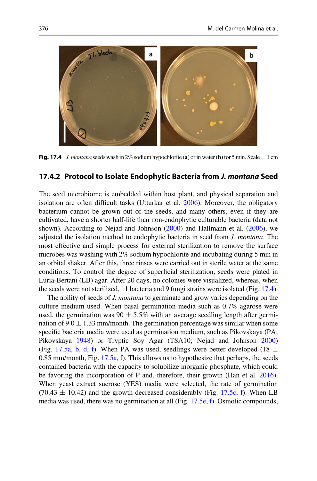<span id="page-11-1"></span>

Fig. 17.4 J. montana seeds wash in 2% sodium hypochlorite (a) or in water (b) for 5 min. Scale = 1 cm

### <span id="page-11-0"></span>17.4.2 Protocol to Isolate Endophytic Bacteria from J. montana Seed

The seed microbiome is embedded within host plant, and physical separation and isolation are often difficult tasks (Utturkar et al. [2006](#page-19-17)). Moreover, the obligatory bacterium cannot be grown out of the seeds, and many others, even if they are cultivated, have a shorter half-life than non-endophytic culturable bacteria (data not shown). According to Nejad and Johnson [\(2000](#page-17-16)) and Hallmann et al. ([2006\)](#page-16-18), we adjusted the isolation method to endophytic bacteria in seed from J. montana. The most effective and simple process for external sterilization to remove the surface microbes was washing with 2% sodium hypochlorite and incubating during 5 min in an orbital shaker. After this, three rinses were carried out in sterile water at the same conditions. To control the degree of superficial sterilization, seeds were plated in Luria-Bertani (LB) agar. After 20 days, no colonies were visualized, whereas, when the seeds were not sterilized, 11 bacteria and 9 fungi strains were isolated (Fig. [17.4\)](#page-11-1).

The ability of seeds of *J. montana* to germinate and grow varies depending on the culture medium used. When basal germination media such as 0.7% agarose were used, the germination was  $90 \pm 5.5\%$  with an average seedling length after germination of  $9.0 \pm 1.33$  mm/month. The germination percentage was similar when some specific bacteria media were used as germination medium, such as Pikovskaya (PA; Pikovskaya [1948\)](#page-17-17) or Tryptic Soy Agar (TSA10; Nejad and Johnson [2000](#page-17-16)) (Fig. [17.5a, b, d, f](#page-12-0)). When PA was used, seedlings were better developed (18  $\pm$ 0.85 mm/month, Fig. [17.5a, f\)](#page-12-0). This allows us to hypothesize that perhaps, the seeds contained bacteria with the capacity to solubilize inorganic phosphate, which could be favoring the incorporation of P and, therefore, their growth (Han et al. [2016\)](#page-16-12). When yeast extract sucrose (YES) media were selected, the rate of germination  $(70.43 \pm 10.42)$  and the growth decreased considerably (Fig. [17.5c, f\)](#page-12-0). When LB media was used, there was no germination at all (Fig. [17.5e, f\)](#page-12-0). Osmotic compounds,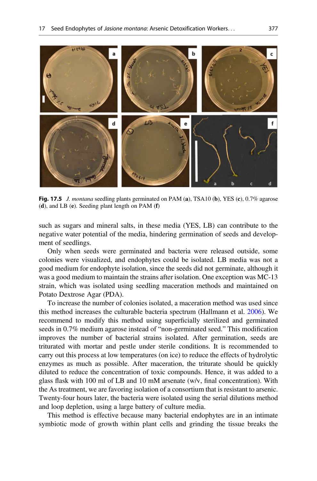<span id="page-12-0"></span>

Fig. 17.5 *J. montana* seedling plants germinated on PAM (a), TSA10 (b), YES (c), 0.7% agarose (d), and LB (e). Seeding plant length on PAM  $(f)$ 

such as sugars and mineral salts, in these media (YES, LB) can contribute to the negative water potential of the media, hindering germination of seeds and development of seedlings.

Only when seeds were germinated and bacteria were released outside, some colonies were visualized, and endophytes could be isolated. LB media was not a good medium for endophyte isolation, since the seeds did not germinate, although it was a good medium to maintain the strains after isolation. One exception was MC-13 strain, which was isolated using seedling maceration methods and maintained on Potato Dextrose Agar (PDA).

To increase the number of colonies isolated, a maceration method was used since this method increases the culturable bacteria spectrum (Hallmann et al. [2006\)](#page-16-18). We recommend to modify this method using superficially sterilized and germinated seeds in 0.7% medium agarose instead of "non-germinated seed." This modification improves the number of bacterial strains isolated. After germination, seeds are triturated with mortar and pestle under sterile conditions. It is recommended to carry out this process at low temperatures (on ice) to reduce the effects of hydrolytic enzymes as much as possible. After maceration, the triturate should be quickly diluted to reduce the concentration of toxic compounds. Hence, it was added to a glass flask with 100 ml of LB and 10 mM arsenate (w/v, final concentration). With the As treatment, we are favoring isolation of a consortium that is resistant to arsenic. Twenty-four hours later, the bacteria were isolated using the serial dilutions method and loop depletion, using a large battery of culture media.

This method is effective because many bacterial endophytes are in an intimate symbiotic mode of growth within plant cells and grinding the tissue breaks the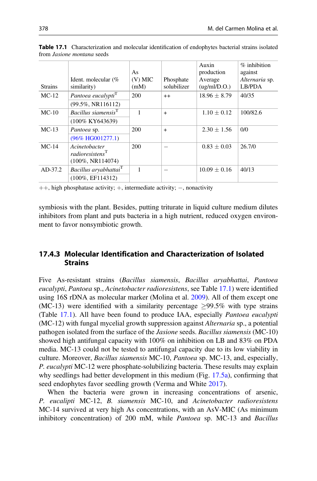| <b>Strains</b> | Ident. molecular (%<br>similarity)                                  | As<br>$(V)$ MIC<br>(mM) | Phosphate<br>solubilizer | Auxin<br>production<br>Average<br>(ug/ml/D.O.) | $%$ inhibition<br>against<br>Alternaria sp.<br>LB/PDA |
|----------------|---------------------------------------------------------------------|-------------------------|--------------------------|------------------------------------------------|-------------------------------------------------------|
| $MC-12$        | Pantoea eucalypti <sup>T</sup><br>$(99.5\%, NR116112)$              | 200                     | $^{++}$                  | $18.96 + 8.79$                                 | 40/35                                                 |
| $MC-10$        | $Bacillus$ siamensis <sup>T</sup><br>$(100\%$ KY643639)             | 1                       | $+$                      | $1.10 \pm 0.12$                                | 100/82.6                                              |
| $MC-13$        | Pantoea sp.<br>$(96\% \text{ HG}001277.1)$                          | 200                     | $+$                      | $2.30 \pm 1.56$                                | 0/0                                                   |
| $MC-14$        | Acinetobacter<br>radioresistens <sup>T</sup><br>$(100\%, NR114074)$ | 200                     |                          | $0.83 + 0.03$                                  | 26.7/0                                                |
| AD-37.2        | Bacillus aryabhattai <sup>T</sup><br>$(100\%$ , EF114312)           | 1                       |                          | $10.09 \pm 0.16$                               | 40/13                                                 |

<span id="page-13-1"></span>Table 17.1 Characterization and molecular identification of endophytes bacterial strains isolated from Jasione montana seeds

 $++$ , high phosphatase activity;  $+$ , intermediate activity;  $-$ , nonactivity

symbiosis with the plant. Besides, putting triturate in liquid culture medium dilutes inhibitors from plant and puts bacteria in a high nutrient, reduced oxygen environment to favor nonsymbiotic growth.

## <span id="page-13-0"></span>17.4.3 Molecular Identification and Characterization of Isolated **Strains**

Five As-resistant strains (Bacillus siamensis, Bacillus aryabhattai, Pantoea eucalypti, Pantoea sp., Acinetobacter radioresistens, see Table [17.1](#page-13-1)) were identified using 16S rDNA as molecular marker (Molina et al. [2009\)](#page-17-18). All of them except one  $(MC-13)$  were identified with a similarity percentage  $>99.5\%$  with type strains (Table [17.1\)](#page-13-1). All have been found to produce IAA, especially Pantoea eucalypti (MC-12) with fungal mycelial growth suppression against Alternaria sp., a potential pathogen isolated from the surface of the Jasione seeds. Bacillus siamensis (MC-10) showed high antifungal capacity with 100% on inhibition on LB and 83% on PDA media. MC-13 could not be tested to antifungal capacity due to its low viability in culture. Moreover, Bacillus siamensis MC-10, Pantoea sp. MC-13, and, especially, P. eucalypti MC-12 were phosphate-solubilizing bacteria. These results may explain why seedlings had better development in this medium (Fig. [17.5a\)](#page-12-0), confirming that seed endophytes favor seedling growth (Verma and White [2017](#page-19-15)).

When the bacteria were grown in increasing concentrations of arsenic, P. eucalipti MC-12, B. siamensis MC-10, and Acinetobacter radioresistens MC-14 survived at very high As concentrations, with an AsV-MIC (As minimum inhibitory concentration) of 200 mM, while *Pantoea* sp. MC-13 and *Bacillus*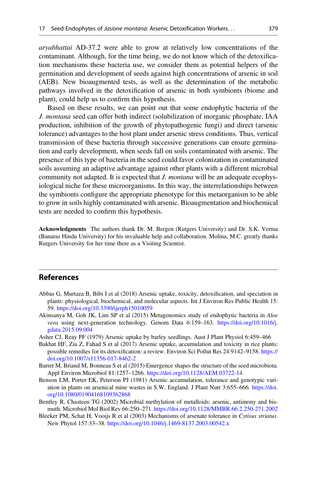aryabhattai AD-37.2 were able to grow at relatively low concentrations of the contaminant. Although, for the time being, we do not know which of the detoxification mechanisms these bacteria use, we consider them as potential helpers of the germination and development of seeds against high concentrations of arsenic in soil (AEB). New bioaugmented tests, as well as the determination of the metabolic pathways involved in the detoxification of arsenic in both symbionts (biome and plant), could help us to confirm this hypothesis.

Based on these results, we can point out that some endophytic bacteria of the J. montana seed can offer both indirect (solubilization of inorganic phosphate, IAA production, inhibition of the growth of phytopathogenic fungi) and direct (arsenic tolerance) advantages to the host plant under arsenic stress conditions. Thus, vertical transmission of these bacteria through successive generations can ensure germination and early development, when seeds fall on soils contaminated with arsenic. The presence of this type of bacteria in the seed could favor colonization in contaminated soils assuming an adaptive advantage against other plants with a different microbial community not adapted. It is expected that *J. montana* will be an adequate ecophysiological niche for these microorganisms. In this way, the interrelationships between the symbionts configure the appropriate phenotype for this metaorganism to be able to grow in soils highly contaminated with arsenic. Bioaugmentation and biochemical tests are needed to confirm this hypothesis.

Acknowledgments The authors thank Dr. M. Bergen (Rutgers University) and Dr. S.K. Verma (Banaras Hindu University) for his invaluable help and collaboration. Molina, M.C. greatly thanks Rutgers University for her time there as a Visiting Scientist.

### <span id="page-14-2"></span><span id="page-14-0"></span>References

- <span id="page-14-1"></span>Abbas G, Murtaza B, Bibi I et al (2018) Arsenic uptake, toxicity, detoxification, and speciation in plants: physiological, biochemical, and molecular aspects. Int J Environ Res Public Health 15: 59. <https://doi.org/10.3390/ijerph15010059>
- <span id="page-14-5"></span>Akinsanya M, Goh JK, Lim SP et al (2015) Metagenomics study of endophytic bacteria in Aloe vera using next-generation technology. Genom Data 6:159-163. [https://doi.org/10.1016/j.](https://doi.org/10.1016/j.gdata.2015.09.004) [gdata.2015.09.004](https://doi.org/10.1016/j.gdata.2015.09.004)
- <span id="page-14-4"></span>Asher CJ, Reay PF (1979) Arsenic uptake by barley seedlings. Aust J Plant Physiol 6:459–466
- <span id="page-14-7"></span>Bakhat HF, Zia Z, Fahad S et al (2017) Arsenic uptake, accumulation and toxicity in rice plants: possible remedies for its detoxification: a review. Environ Sci Pollut Res 24:9142–9158. [https://](https://doi.org/10.1007/s11356-017-8462-2) [doi.org/10.1007/s11356-017-8462-2](https://doi.org/10.1007/s11356-017-8462-2)
- <span id="page-14-8"></span>Barret M, Briand M, Bonneau S et al (2015) Emergence shapes the structure of the seed microbiota. Appl Environ Microbiol 81:1257–1266. <https://doi.org/10.1128/AEM.03722-14>
- <span id="page-14-3"></span>Benson LM, Porter EK, Peterson PJ (1981) Arsenic accumulation, tolerance and genotypic variation in plants on arsenical mine wastes in S.W. England. J Plant Nutr 3:655–666. [https://doi.](https://doi.org/10.1080/01904168109362868) [org/10.1080/01904168109362868](https://doi.org/10.1080/01904168109362868)
- <span id="page-14-6"></span>Bentley R, Chasteen TG (2002) Microbial methylation of metalloids: arsenic, antimony and bismuth. Microbiol Mol Biol Rev 66:250–271. <https://doi.org/10.1128/MMBR.66.2.250-271.2002>
- Bleeker PM, Schat H, Vooijs R et al (2003) Mechanisms of arsenate tolerance in Cytisus striatus. New Phytol 157:33–38. <https://doi.org/10.1046/j.1469-8137.2003.00542.x>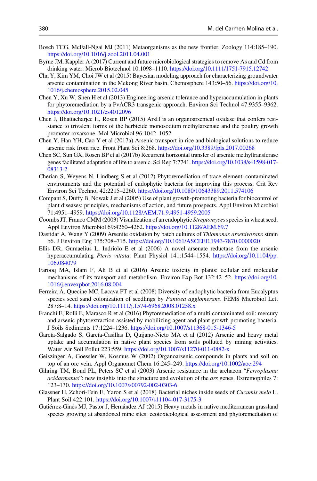- <span id="page-15-3"></span>Bosch TCG, McFall-Ngai MJ (2011) Metaorganisms as the new frontier. Zoology 114:185–190. <https://doi.org/10.1016/j.zool.2011.04.001>
- <span id="page-15-2"></span>Byrne JM, Kappler A (2017) Current and future microbiological strategies to remove As and Cd from drinking water. Microb Biotechnol 10:1098–1110. <https://doi.org/10.1111/1751-7915.12742>
- <span id="page-15-6"></span>Cha Y, Kim YM, Choi JW et al (2015) Bayesian modeling approach for characterizing groundwater arsenic contamination in the Mekong River basin. Chemosphere 143:50–56. [https://doi.org/10.](https://doi.org/10.1016/j.chemosphere.2015.02.045) [1016/j.chemosphere.2015.02.045](https://doi.org/10.1016/j.chemosphere.2015.02.045)
- <span id="page-15-12"></span>Chen Y, Xu W, Shen H et al (2013) Engineering arsenic tolerance and hyperaccumulation in plants for phytoremediation by a PvACR3 transgenic approach. Environ Sci Technol 47:9355–9362. <https://doi.org/10.1021/es4012096>
- <span id="page-15-8"></span>Chen J, Bhattacharjee H, Rosen BP (2015) ArsH is an organoarsenical oxidase that confers resistance to trivalent forms of the herbicide monosodium methylarsenate and the poultry growth promoter roxarsone. Mol Microbiol 96:1042–1052
- <span id="page-15-10"></span>Chen Y, Han YH, Cao Y et al (2017a) Arsenic transport in rice and biological solutions to reduce arsenic risk from rice. Front Plant Sci 8:268. <https://doi.org/10.3389/fpls.2017.00268>
- <span id="page-15-11"></span>Chen SC, Sun GX, Rosen BP et al (2017b) Recurrent horizontal transfer of arsenite methyltransferase genes facilitated adaptation of life to arsenic. Sci Rep 7:7741. [https://doi.org/10.1038/s41598-017-](https://doi.org/10.1038/s41598-017-08313-2) [08313-2](https://doi.org/10.1038/s41598-017-08313-2)
- <span id="page-15-5"></span>Cherian S, Weyens N, Lindberg S et al (2012) Phytoremediation of trace element–contaminated environments and the potential of endophytic bacteria for improving this process. Crit Rev Environ Sci Technol 42:2215–2260. <https://doi.org/10.1080/10643389.2011.574106>
- <span id="page-15-4"></span>Compant S, Duffy B, Nowak J et al (2005) Use of plant growth-promoting bacteria for biocontrol of plant diseases: principles, mechanisms of action, and future prospects. Appl Environ Microbiol 71:4951–4959. <https://doi.org/10.1128/AEM.71.9.4951-4959.2005>
- <span id="page-15-16"></span>Coombs JT, Franco CMM (2003) Visualization of an endophytic *Streptomyces* species in wheat seed. Appl Environ Microbiol 69:4260–4262. <https://doi.org/10.1128/AEM.69.7>
- <span id="page-15-7"></span>Dastidar A, Wang Y (2009) Arsenite oxidation by batch cultures of Thiomonas arsenivorans strain b6. J Environ Eng 135:708–715. <https://doi.org/10.1061/ASCEEE.1943-7870.0000020>
- <span id="page-15-9"></span>Ellis DR, Gumaelius L, Indriolo E et al (2006) A novel arsenate reductase from the arsenic hyperaccumulating Pteris vittata. Plant Physiol 141:1544–1554. [https://doi.org/10.1104/pp.](https://doi.org/10.1104/pp.106.084079) [106.084079](https://doi.org/10.1104/pp.106.084079)
- <span id="page-15-0"></span>Farooq MA, Islam F, Ali B et al (2016) Arsenic toxicity in plants: cellular and molecular mechanisms of its transport and metabolism. Environ Exp Bot 132:42–52. [https://doi.org/10.](https://doi.org/10.1016/j.envexpbot.2016.08.004) [1016/j.envexpbot.2016.08.004](https://doi.org/10.1016/j.envexpbot.2016.08.004)
- <span id="page-15-15"></span>Ferreira A, Quecine MC, Lacava PT et al (2008) Diversity of endophytic bacteria from Eucalyptus species seed sand colonization of seedlings by *Pantoea agglomerans*. FEMS Microbiol Lett 287:8–14. <https://doi.org/10.1111/j.1574-6968.2008.01258.x>
- <span id="page-15-14"></span>Franchi E, Rolli E, Marasco R et al (2016) Phytoremediation of a multi contaminated soil: mercury and arsenic phytoextraction assisted by mobilizing agent and plant growth promoting bacteria. J Soils Sediments 17:1224–1236. <https://doi.org/10.1007/s11368-015-1346-5>
- <span id="page-15-18"></span>García-Salgado S, García-Casillas D, Quijano-Nieto MA et al (2012) Arsenic and heavy metal uptake and accumulation in native plant species from soils polluted by mining activities. Water Air Soil Pollut 223:559. <https://doi.org/10.1007/s11270-011-0882-x>
- <span id="page-15-13"></span>Geiszinger A, Goessler W, Kosmus W (2002) Organoarsenic compounds in plants and soil on top of an ore vein. Appl Organomet Chem 16:245–249. <https://doi.org/10.1002/aoc.294>
- <span id="page-15-1"></span>Gihring TM, Bond PL, Peters SC et al (2003) Arsenic resistance in the archaeon "Ferroplasma acidarmanus": new insights into the structure and evolution of the ars genes. Extremophiles 7: 123–130. <https://doi.org/10.1007/s00792-002-0303-6>
- <span id="page-15-17"></span>Glassner H, Zchori-Fein E, Yaron S et al (2018) Bacterial niches inside seeds of Cucumis melo L. Plant Soil 422:101. <https://doi.org/10.1007/s11104-017-3175-3>
- <span id="page-15-19"></span>Gutiérrez-Ginés MJ, Pastor J, Hernández AJ (2015) Heavy metals in native mediterranean grassland species growing at abandoned mine sites: ecotoxicological assessment and phytoremediation of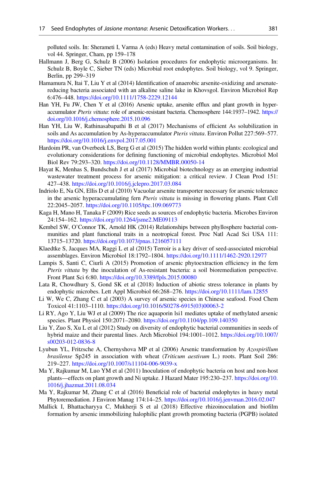polluted soils. In: Sherameti I, Varma A (eds) Heavy metal contamination of soils. Soil biology, vol 44. Springer, Cham, pp 159–178

- <span id="page-16-18"></span>Hallmann J, Berg G, Schulz B (2006) Isolation procedures for endophytic microorganisms. In: Schulz B, Boyle C, Sieber TN (eds) Microbial root endophytes. Soil biology, vol 9. Springer, Berlin, pp 299–319
- <span id="page-16-5"></span>Hamamura N, Itai T, Liu Y et al (2014) Identification of anaerobic arsenite-oxidizing and arsenatereducing bacteria associated with an alkaline saline lake in Khovsgol. Environ Microbiol Rep 6:476–448. <https://doi.org/10.1111/1758-2229.12144>
- <span id="page-16-12"></span>Han YH, Fu JW, Chen Y et al (2016) Arsenic uptake, arsenite efflux and plant growth in hyperaccumulator Pteris vittata: role of arsenic-resistant bacteria. Chemosphere 144:1937–1942. [https://](https://doi.org/10.1016/j.chemosphere.2015.10.096) [doi.org/10.1016/j.chemosphere.2015.10.096](https://doi.org/10.1016/j.chemosphere.2015.10.096)
- <span id="page-16-3"></span>Han YH, Liu W, Rathinasabapathi B et al (2017) Mechanisms of efficient As solubilization in soils and As accumulation by As-hyperaccumulator Pteris vittata. Environ Pollut 227:569-577. <https://doi.org/10.1016/j.envpol.2017.05.001>
- <span id="page-16-1"></span>Hardoim PR, van Overbeek LS, Berg G et al (2015) The hidden world within plants: ecological and evolutionary considerations for defining functioning of microbial endophytes. Microbiol Mol Biol Rev 79:293–320. <https://doi.org/10.1128/MMBR.00050-14>
- <span id="page-16-14"></span>Hayat K, Menhas S, Bundschuh J et al (2017) Microbial biotechnology as an emerging industrial wastewater treatment process for arsenic mitigation: a critical review. J Clean Prod 151: 427–438. <https://doi.org/10.1016/j.jclepro.2017.03.084>
- <span id="page-16-6"></span>Indriolo E, Na GN, Ellis D et al (2010) Vacuolar arsenite transporter necessary for arsenic tolerance in the arsenic hyperaccumulating fern *Pteris vittata* is missing in flowering plants. Plant Cell 22:2045–2057. <https://doi.org/10.1105/tpc.109.069773>
- <span id="page-16-15"></span>Kaga H, Mano H, Tanaka F (2009) Rice seeds as sources of endophytic bacteria. Microbes Environ 24:154–162. <https://doi.org/10.1264/jsme2.ME09113>
- <span id="page-16-0"></span>Kembel SW, O'Connor TK, Arnold HK (2014) Relationships between phyllosphere bacterial communities and plant functional traits in a neotropical forest. Proc Natl Acad Sci USA 111: 13715–13720. <https://doi.org/10.1073/pnas.1216057111>
- <span id="page-16-16"></span>Klaedtke S, Jacques MA, Raggi L et al (2015) Terroir is a key driver of seed-associated microbial assemblages. Environ Microbiol 18:1792–1804. <https://doi.org/10.1111/1462-2920.12977>
- <span id="page-16-10"></span>Lampis S, Santi C, Ciurli A (2015) Promotion of arsenic phytoextraction efficiency in the fern Pteris vittata by the inoculation of As-resistant bacteria: a soil bioremediation perspective. Front Plant Sci 6:80. <https://doi.org/10.3389/fpls.2015.00080>
- <span id="page-16-4"></span>Lata R, Chowdhury S, Gond SK et al (2018) Induction of abiotic stress tolerance in plants by endophytic microbes. Lett Appl Microbiol 66:268–276. <https://doi.org/10.1111/lam.12855>
- <span id="page-16-8"></span>Li W, We C, Zhang C et al (2003) A survey of arsenic species in Chinese seafood. Food Chem Toxicol 41:1103–1110. [https://doi.org/10.1016/S0278-6915\(03\)00063-2](https://doi.org/10.1016/S0278-6915(03)00063-2)
- <span id="page-16-7"></span>Li RY, Ago Y, Liu WJ et al (2009) The rice aquaporin lsi1 mediates uptake of methylated arsenic species. Plant Physiol 150:2071–2080. <https://doi.org/10.1104/pp.109.140350>
- <span id="page-16-17"></span>Liu Y, Zuo S, Xu L et al (2012) Study on diversity of endophytic bacterial communities in seeds of hybrid maize and their parental lines. Arch Microbiol 194:1001–1012. [https://doi.org/10.1007/](https://doi.org/10.1007/s00203-012-0836-8) [s00203-012-0836-8](https://doi.org/10.1007/s00203-012-0836-8)
- <span id="page-16-9"></span>Lyubun YL, Fritzsche A, Chernyshova MP et al (2006) Arsenic transformation by Azospirillum brasilense Sp245 in association with wheat (Triticum aestivum L.) roots. Plant Soil 286: 219–227. <https://doi.org/10.1007/s11104-006-9039-x>
- <span id="page-16-13"></span>Ma Y, Rajkumar M, Luo YM et al (2011) Inoculation of endophytic bacteria on host and non-host plants—effects on plant growth and Ni uptake. J Hazard Mater 195:230–237. [https://doi.org/10.](https://doi.org/10.1016/j.jhazmat.2011.08.034) [1016/j.jhazmat.2011.08.034](https://doi.org/10.1016/j.jhazmat.2011.08.034)
- <span id="page-16-2"></span>Ma Y, Rajkumar M, Zhang C et al (2016) Beneficial role of bacterial endophytes in heavy metal Phytoremediation. J Environ Manag 174:14–25. <https://doi.org/10.1016/j.jenvman.2016.02.047>
- <span id="page-16-11"></span>Mallick I, Bhattacharyya C, Mukherji S et al (2018) Effective rhizoinoculation and biofilm formation by arsenic immobilizing halophilic plant growth promoting bacteria (PGPB) isolated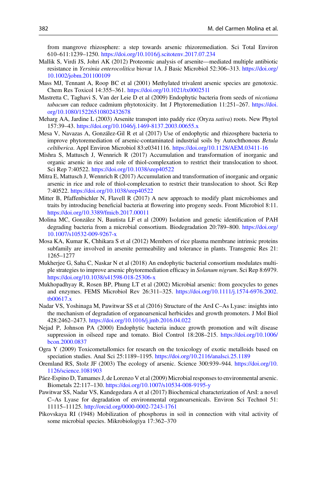from mangrove rhizosphere: a step towards arsenic rhizoremediation. Sci Total Environ 610–611:1239–1250. <https://doi.org/10.1016/j.scitotenv.2017.07.234>

- <span id="page-17-3"></span>Mallik S, Virdi JS, Johri AK (2012) Proteomic analysis of arsenite—mediated multiple antibiotic resistance in Yersinia enterocolitica biovar 1A. J Basic Microbiol 52:306–313. [https://doi.org/](https://doi.org/10.1002/jobm.201100109) [10.1002/jobm.201100109](https://doi.org/10.1002/jobm.201100109)
- <span id="page-17-5"></span>Mass MJ, Tennant A, Roop BC et al (2001) Methylated trivalent arsenic species are genotoxic. Chem Res Toxicol 14:355–361. <https://doi.org/10.1021/tx000251l>
- <span id="page-17-15"></span>Mastretta C, Taghavi S, Van der Leie D et al (2009) Endophytic bacteria from seeds of nicotiana tabacum can reduce cadmium phytotoxicity. Int J Phytoremediation 11:251-267. [https://doi.](https://doi.org/10.1080/15226510802432678) [org/10.1080/15226510802432678](https://doi.org/10.1080/15226510802432678)
- <span id="page-17-10"></span>Meharg AA, Jardine L (2003) Arsenite transport into paddy rice (Oryza sativa) roots. New Phytol 157:39–43. <https://doi.org/10.1046/j.1469-8137.2003.00655.x>
- <span id="page-17-13"></span>Mesa V, Navazas A, González-Gil R et al (2017) Use of endophytic and rhizosphere bacteria to improve phytoremediation of arsenic-contaminated industrial soils by Autochthonous Betula celtiberica. Appl Environ Microbiol 83:e0341116. <https://doi.org/10.1128/AEM.03411-16>
- <span id="page-17-6"></span>Mishra S, Mattusch J, Wennrich R (2017) Accumulation and transformation of inorganic and organic arsenic in rice and role of thiol-complexation to restrict their translocation to shoot. Sci Rep 7:40522. <https://doi.org/10.1038/srep40522>
- <span id="page-17-4"></span>Mitra E, Mattusch J, Wennrich R (2017) Accumulation and transformation of inorganic and organic arsenic in rice and role of thiol-complexation to restrict their translocation to shoot. Sci Rep 7:40522. <https://doi.org/10.1038/srep40522>
- <span id="page-17-14"></span>Mitter B, Pfaffenbichler N, Flavell R (2017) A new approach to modify plant microbiomes and traits by introducing beneficial bacteria at flowering into progeny seeds. Front Microbiol 8:11. <https://doi.org/10.3389/fmicb.2017.00011>
- <span id="page-17-18"></span>Molina MC, González N, Bautista LF et al (2009) Isolation and genetic identification of PAH degrading bacteria from a microbial consortium. Biodegradation 20:789-800. [https://doi.org/](https://doi.org/10.1007/s10532-009-9267-x) [10.1007/s10532-009-9267-x](https://doi.org/10.1007/s10532-009-9267-x)
- <span id="page-17-12"></span>Mosa KA, Kumar K, Chhikara S et al (2012) Members of rice plasma membrane intrinsic proteins subfamily are involved in arsenite permeability and tolerance in plants. Transgenic Res 21: 1265–1277
- <span id="page-17-11"></span>Mukherjee G, Saha C, Naskar N et al (2018) An endophytic bacterial consortium modulates multiple strategies to improve arsenic phytoremediation efficacy in Solanum nigrum. Sci Rep 8:6979. <https://doi.org/10.1038/s41598-018-25306-x>
- <span id="page-17-0"></span>Mukhopadhyay R, Rosen BP, Phung LT et al (2002) Microbial arsenic: from geocycles to genes and enzymes. FEMS Microbiol Rev 26:311–325. [https://doi.org/10.1111/j.1574-6976.2002.](https://doi.org/10.1111/j.1574-6976.2002.tb00617.x) [tb00617.x](https://doi.org/10.1111/j.1574-6976.2002.tb00617.x)
- <span id="page-17-8"></span>Nadar VS, Yoshinaga M, Pawitwar SS et al (2016) Structure of the ArsI C–As Lyase: insights into the mechanism of degradation of organoarsenical herbicides and growth promoters. J Mol Biol 428:2462–2473. <https://doi.org/10.1016/j.jmb.2016.04.022>
- <span id="page-17-16"></span>Nejad P, Johnson PA (2000) Endophytic bacteria induce growth promotion and wilt disease suppression in oilseed rape and tomato. Biol Control 18:208–215. [https://doi.org/10.1006/](https://doi.org/10.1006/bcon.2000.0837) [bcon.2000.0837](https://doi.org/10.1006/bcon.2000.0837)
- <span id="page-17-2"></span>Ogra Y (2009) Toxicometallomics for research on the toxicology of exotic metalloids based on speciation studies. Anal Sci 25:1189–1195. <https://doi.org/10.2116/analsci.25.1189>
- <span id="page-17-1"></span>Oremland RS, Stolz JF (2003) The ecology of arsenic. Science 300:939–944. [https://doi.org/10.](https://doi.org/10.1126/science.1081903) [1126/science.1081903](https://doi.org/10.1126/science.1081903)
- <span id="page-17-7"></span>Páez-Espino D, Tamames J, de Lorenzo V et al (2009) Microbial responses to environmental arsenic. Biometals 22:117–130. <https://doi.org/10.1007/s10534-008-9195-y>
- <span id="page-17-9"></span>Pawitwar SS, Nadar VS, Kandegedara A et al (2017) Biochemical characterization of ArsI: a novel C–As Lyase for degradation of environmental organoarsenicals. Environ Sci Technol 51: 11115–11125. <http://orcid.org/0000-0002-7243-1761>
- <span id="page-17-17"></span>Pikovskaya RI (1948) Mobilization of phosphorus in soil in connection with vital activity of some microbial species. Mikrobiologiya 17:362–370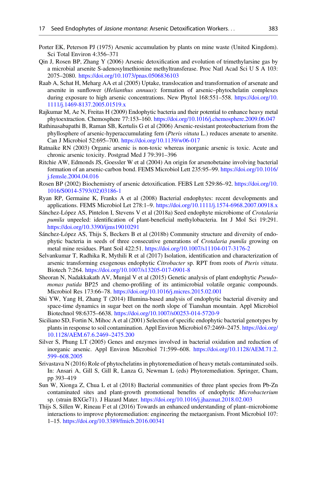- <span id="page-18-18"></span>Porter EK, Peterson PJ (1975) Arsenic accumulation by plants on mine waste (United Kingdom). Sci Total Environ 4:356–371
- <span id="page-18-7"></span>Qin J, Rosen BP, Zhang Y (2006) Arsenic detoxification and evolution of trimethylarsine gas by a microbial arsenite S-adenosylmethionine methyltransferase. Proc Natl Acad Sci U S A 103: 2075–2080. <https://doi.org/10.1073/pnas.0506836103>
- <span id="page-18-9"></span>Raab A, Schat H, Meharg AA et al (2005) Uptake, translocation and transformation of arsenate and arsenite in sunflower (Helianthus annuus): formation of arsenic-phytochelatin complexes during exposure to high arsenic concentrations. New Phytol 168:551–558. [https://doi.org/10.](https://doi.org/10.1111/j.1469-8137.2005.01519.x) [1111/j.1469-8137.2005.01519.x](https://doi.org/10.1111/j.1469-8137.2005.01519.x)
- <span id="page-18-4"></span>Rajkumar M, Ae N, Freitas H (2009) Endophytic bacteria and their potential to enhance heavy metal phytoextraction. Chemosphere 77:153–160. <https://doi.org/10.1016/j.chemosphere.2009.06.047>
- <span id="page-18-12"></span>Rathinasabapathi B, Raman SB, Kertulis G et al (2006) Arsenic-resistant proteobacterium from the phyllosphere of arsenic-hyperaccumulating fern (Pteris vittata L.) reduces arsenate to arsenite. Can J Microbiol 52:695–700. <https://doi.org/10.1139/w06-017>
- <span id="page-18-0"></span>Ratnaike RN (2003) Organic arsenic is non-toxic whereas inorganic arsenic is toxic. Acute and chronic arsenic toxicity. Postgrad Med J 79:391–396
- <span id="page-18-10"></span>Ritchie AW, Edmonds JS, Goessler W et al (2004) An origin for arsenobetaine involving bacterial formation of an arsenic-carbon bond. FEMS Microbiol Lett 235:95–99. [https://doi.org/10.1016/](https://doi.org/10.1016/j.femsle.2004.04.016) [j.femsle.2004.04.016](https://doi.org/10.1016/j.femsle.2004.04.016)
- <span id="page-18-1"></span>Rosen BP (2002) Biochemistry of arsenic detoxification. FEBS Lett 529:86–92. [https://doi.org/10.](https://doi.org/10.1016/S0014-5793(02)03186-1) [1016/S0014-5793\(02\)03186-1](https://doi.org/10.1016/S0014-5793(02)03186-1)
- <span id="page-18-14"></span>Ryan RP, Germaine K, Franks A et al (2008) Bacterial endophytes: recent developments and applications. FEMS Microbiol Let 278:1–9. <https://doi.org/10.1111/j.1574-6968.2007.00918.x>
- <span id="page-18-15"></span>Sánchez-López AS, Pintelon I, Stevens V et al (2018a) Seed endophyte microbiome of Crotalaria pumila unpeeled: identification of plant-beneficial methylobacteria. Int J Mol Sci 19:291. <https://doi.org/10.3390/ijms19010291>
- <span id="page-18-17"></span>Sánchez-López AS, Thijs S, Beckers B et al (2018b) Community structure and diversity of endophytic bacteria in seeds of three consecutive generations of Crotalaria pumila growing on metal mine residues. Plant Soil 422:51. <https://doi.org/10.1007/s11104-017-3176-2>
- <span id="page-18-13"></span>Selvankumar T, Radhika R, Mythili R et al (2017) Isolation, identification and characterization of arsenic transforming exogenous endophytic Citrobacter sp. RPT from roots of Pteris vittata. Biotech 7:264. <https://doi.org/10.1007/s13205-017-0901-8>
- <span id="page-18-3"></span>Sheoran N, Nadakkakath AV, Munjal V et al (2015) Genetic analysis of plant endophytic Pseudomonas putida BP25 and chemo-profiling of its antimicrobial volatile organic compounds. Microbiol Res 173:66–78. <https://doi.org/10.1016/j.micres.2015.02.001>
- <span id="page-18-16"></span>Shi YW, Yang H, Zhang T (2014) Illumina-based analysis of endophytic bacterial diversity and space-time dynamics in sugar beet on the north slope of Tianshan mountain. Appl Microbiol Biotechnol 98:6375–6638. <https://doi.org/10.1007/s00253-014-5720-9>
- <span id="page-18-11"></span>Siciliano SD, Fortin N, Mihoc A et al (2001) Selection of specific endophytic bacterial genotypes by plants in response to soil contamination. Appl Environ Microbiol 67:2469–2475. [https://doi.org/](https://doi.org/10.1128/AEM.67.6.2469-2475.200) [10.1128/AEM.67.6.2469](https://doi.org/10.1128/AEM.67.6.2469-2475.200)–2475.200
- <span id="page-18-6"></span>Silver S, Phung LT (2005) Genes and enzymes involved in bacterial oxidation and reduction of inorganic arsenic. Appl Environ Microbiol 71:599–608. [https://doi.org/10.1128/AEM.71.2.](https://doi.org/10.1128/AEM.71.2.599-608.2005) 599–[608.2005](https://doi.org/10.1128/AEM.71.2.599-608.2005)
- <span id="page-18-8"></span>Srivastava N (2016) Role of phytochelatins in phytoremediation of heavy metals contaminated soils. In: Ansari A, Gill S, Gill R, Lanza G, Newman L (eds) Phytoremediation. Springer, Cham, pp 393–419
- <span id="page-18-5"></span>Sun W, Xionga Z, Chua L et al (2018) Bacterial communities of three plant species from Pb-Zn contaminated sites and plant-growth promotional benefits of endophytic Microbacterium sp. (strain BXGe71). J Hazard Mater. <https://doi.org/10.1016/j.jhazmat.2018.02.003>
- <span id="page-18-2"></span>Thijs S, Sillen W, Rineau F et al (2016) Towards an enhanced understanding of plant–microbiome interactions to improve phytoremediation: engineering the metaorganism. Front Microbiol 107: 1–15. <https://doi.org/10.3389/fmicb.2016.00341>